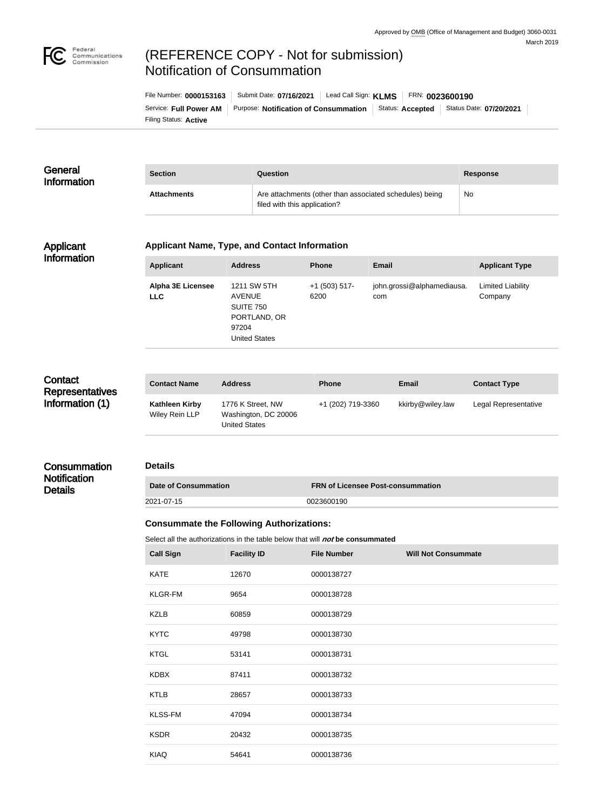

# (REFERENCE COPY - Not for submission) Notification of Consummation

| File Number: 0000153163 | Submit Date: 07/16/2021                      | Lead Call Sign: KLMS | FRN: 0023600190  |                         |
|-------------------------|----------------------------------------------|----------------------|------------------|-------------------------|
| Service: Full Power AM  | <b>Purpose: Notification of Consummation</b> |                      | Status: Accepted | Status Date: 07/20/2021 |
| Filing Status: Active   |                                              |                      |                  |                         |

| General<br><b>Information</b> | <b>Section</b>     | Question                                                                                | <b>Response</b> |
|-------------------------------|--------------------|-----------------------------------------------------------------------------------------|-----------------|
|                               | <b>Attachments</b> | Are attachments (other than associated schedules) being<br>filed with this application? | No              |

#### Applicant Information

#### **Applicant Name, Type, and Contact Information**

| <b>Applicant</b>                       | <b>Address</b>                                                                                    | <b>Phone</b>            | Email                             | <b>Applicant Type</b>               |
|----------------------------------------|---------------------------------------------------------------------------------------------------|-------------------------|-----------------------------------|-------------------------------------|
| <b>Alpha 3E Licensee</b><br><b>LLC</b> | 1211 SW 5TH<br><b>AVENUE</b><br><b>SUITE 750</b><br>PORTLAND, OR<br>97204<br><b>United States</b> | $+1$ (503) 517-<br>6200 | john.grossi@alphamediausa.<br>com | <b>Limited Liability</b><br>Company |

### **Contact Representatives** Information (1)

**Details** 

| <b>Contact Name</b>              | <b>Address</b>                                             | <b>Phone</b>      | <b>Email</b>     | <b>Contact Type</b>  |
|----------------------------------|------------------------------------------------------------|-------------------|------------------|----------------------|
| Kathleen Kirby<br>Wiley Rein LLP | 1776 K Street, NW<br>Washington, DC 20006<br>United States | +1 (202) 719-3360 | kkirby@wiley.law | Legal Representative |

#### **Consummation Notification**

**Details**

| <b>Date of Consummation</b> | <b>FRN of Licensee Post-consummation</b> |
|-----------------------------|------------------------------------------|
| 2021-07-15                  | 0023600190                               |

### **Consummate the Following Authorizations:**

Select all the authorizations in the table below that will **not** be consummated

| <b>Call Sign</b> | <b>Facility ID</b> | <b>File Number</b> | <b>Will Not Consummate</b> |
|------------------|--------------------|--------------------|----------------------------|
| <b>KATE</b>      | 12670              | 0000138727         |                            |
| <b>KLGR-FM</b>   | 9654               | 0000138728         |                            |
| <b>KZLB</b>      | 60859              | 0000138729         |                            |
| <b>KYTC</b>      | 49798              | 0000138730         |                            |
| <b>KTGL</b>      | 53141              | 0000138731         |                            |
| <b>KDBX</b>      | 87411              | 0000138732         |                            |
| <b>KTLB</b>      | 28657              | 0000138733         |                            |
| <b>KLSS-FM</b>   | 47094              | 0000138734         |                            |
| <b>KSDR</b>      | 20432              | 0000138735         |                            |
| <b>KIAQ</b>      | 54641              | 0000138736         |                            |